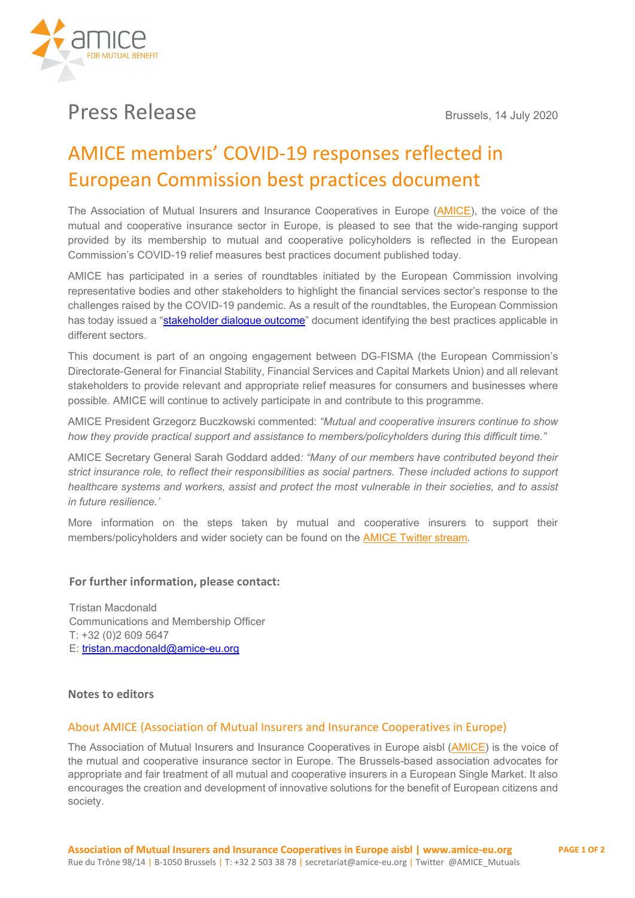

# Press Release Brussels, 14 July 2020

## AMICE members' COVID-19 responses reflected in European Commission best practices document

The Association of Mutual Insurers and Insurance Cooperatives in Europe [\(AMICE\)](https://www.amice-eu.org/), the voice of the mutual and cooperative insurance sector in Europe, is pleased to see that the wide-ranging support provided by its membership to mutual and cooperative policyholders is reflected in the European Commission's COVID-19 relief measures best practices document published today.

AMICE has participated in a series of roundtables initiated by the European Commission involving representative bodies and other stakeholders to highlight the financial services sector's response to the challenges raised by the COVID-19 pandemic. As a result of the roundtables, the European Commission has today issued a ["stakeholder dialogue outcome"](https://ec.europa.eu/commission/presscorner/detail/en/ip_20_1281) document identifying the best practices applicable in different sectors.

This document is part of an ongoing engagement between DG-FISMA (the European Commission's Directorate-General for Financial Stability, Financial Services and Capital Markets Union) and all relevant stakeholders to provide relevant and appropriate relief measures for consumers and businesses where possible. AMICE will continue to actively participate in and contribute to this programme.

AMICE President Grzegorz Buczkowski commented: *"Mutual and cooperative insurers continue to show how they provide practical support and assistance to members/policyholders during this difficult time."*

AMICE Secretary General Sarah Goddard added*: "Many of our members have contributed beyond their strict insurance role, to reflect their responsibilities as social partners. These included actions to support healthcare systems and workers, assist and protect the most vulnerable in their societies, and to assist in future resilience.'*

More information on the steps taken by mutual and cooperative insurers to support their members/policyholders and wider society can be found on the [AMICE Twitter stream](https://twitter.com/AMICE_Mutuals)*.*

### **For further information, please contact:**

Tristan Macdonald Communications and Membership Officer T: +32 (0)2 609 5647 E: [tristan.macdonald@amice-eu.org](mailto:tristan.macdonald@amice-eu.org)

#### **Notes to editors**

#### About AMICE (Association of Mutual Insurers and Insurance Cooperatives in Europe)

The Association of Mutual Insurers and Insurance Cooperatives in Europe aisbl [\(AMICE\)](http://www.amice-eu.org/) is the voice of the mutual and cooperative insurance sector in Europe. The Brussels-based association advocates for appropriate and fair treatment of all mutual and cooperative insurers in a European Single Market. It also encourages the creation and development of innovative solutions for the benefit of European citizens and society.